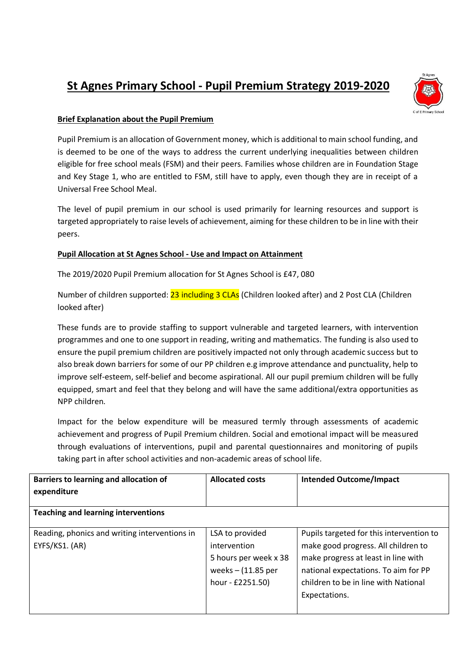## **St Agnes Primary School - Pupil Premium Strategy 2019-2020**



## **Brief Explanation about the Pupil Premium**

Pupil Premium is an allocation of Government money, which is additional to main school funding, and is deemed to be one of the ways to address the current underlying inequalities between children eligible for free school meals (FSM) and their peers. Families whose children are in Foundation Stage and Key Stage 1, who are entitled to FSM, still have to apply, even though they are in receipt of a Universal Free School Meal.

The level of pupil premium in our school is used primarily for learning resources and support is targeted appropriately to raise levels of achievement, aiming for these children to be in line with their peers.

## **Pupil Allocation at St Agnes School - Use and Impact on Attainment**

The 2019/2020 Pupil Premium allocation for St Agnes School is £47, 080

Number of children supported: 23 including 3 CLAs (Children looked after) and 2 Post CLA (Children looked after)

These funds are to provide staffing to support vulnerable and targeted learners, with intervention programmes and one to one support in reading, writing and mathematics. The funding is also used to ensure the pupil premium children are positively impacted not only through academic success but to also break down barriers for some of our PP children e.g improve attendance and punctuality, help to improve self-esteem, self-belief and become aspirational. All our pupil premium children will be fully equipped, smart and feel that they belong and will have the same additional/extra opportunities as NPP children.

Impact for the below expenditure will be measured termly through assessments of academic achievement and progress of Pupil Premium children. Social and emotional impact will be measured through evaluations of interventions, pupil and parental questionnaires and monitoring of pupils taking part in after school activities and non-academic areas of school life.

| Barriers to learning and allocation of<br>expenditure           | <b>Allocated costs</b>                                                                               | <b>Intended Outcome/Impact</b>                                                                                                                                                                                          |  |  |
|-----------------------------------------------------------------|------------------------------------------------------------------------------------------------------|-------------------------------------------------------------------------------------------------------------------------------------------------------------------------------------------------------------------------|--|--|
| <b>Teaching and learning interventions</b>                      |                                                                                                      |                                                                                                                                                                                                                         |  |  |
| Reading, phonics and writing interventions in<br>EYFS/KS1. (AR) | LSA to provided<br>intervention<br>5 hours per week x 38<br>weeks $-$ (11.85 per<br>hour - £2251.50) | Pupils targeted for this intervention to<br>make good progress. All children to<br>make progress at least in line with<br>national expectations. To aim for PP<br>children to be in line with National<br>Expectations. |  |  |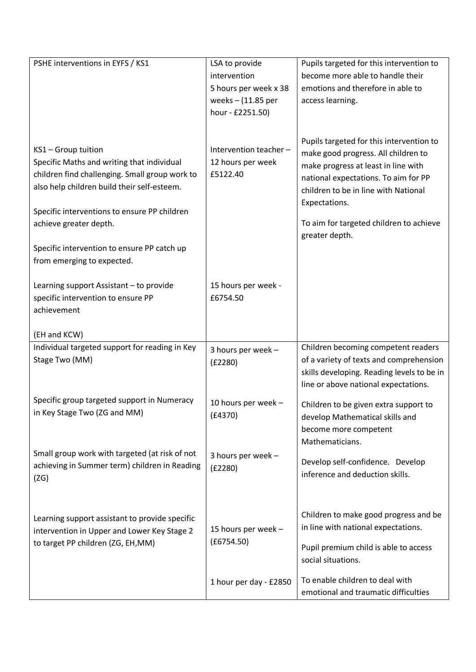| PSHE interventions in EYFS / KS1                                                                                                                                   | LSA to provide                                          | Pupils targeted for this intervention to                                                                                                                                                                                |
|--------------------------------------------------------------------------------------------------------------------------------------------------------------------|---------------------------------------------------------|-------------------------------------------------------------------------------------------------------------------------------------------------------------------------------------------------------------------------|
|                                                                                                                                                                    | intervention                                            | become more able to handle their                                                                                                                                                                                        |
|                                                                                                                                                                    | 5 hours per week x 38                                   | emotions and therefore in able to                                                                                                                                                                                       |
|                                                                                                                                                                    | weeks $-$ (11.85 per                                    | access learning.                                                                                                                                                                                                        |
|                                                                                                                                                                    | hour - £2251.50)                                        |                                                                                                                                                                                                                         |
| KS1 - Group tuition<br>Specific Maths and writing that individual<br>children find challenging. Small group work to<br>also help children build their self-esteem. | Intervention teacher -<br>12 hours per week<br>£5122.40 | Pupils targeted for this intervention to<br>make good progress. All children to<br>make progress at least in line with<br>national expectations. To aim for PP<br>children to be in line with National<br>Expectations. |
| Specific interventions to ensure PP children                                                                                                                       |                                                         |                                                                                                                                                                                                                         |
| achieve greater depth.                                                                                                                                             |                                                         | To aim for targeted children to achieve<br>greater depth.                                                                                                                                                               |
| Specific intervention to ensure PP catch up                                                                                                                        |                                                         |                                                                                                                                                                                                                         |
| from emerging to expected.                                                                                                                                         |                                                         |                                                                                                                                                                                                                         |
|                                                                                                                                                                    |                                                         |                                                                                                                                                                                                                         |
| Learning support Assistant - to provide                                                                                                                            | 15 hours per week -                                     |                                                                                                                                                                                                                         |
| specific intervention to ensure PP                                                                                                                                 | £6754.50                                                |                                                                                                                                                                                                                         |
| achievement                                                                                                                                                        |                                                         |                                                                                                                                                                                                                         |
| (EH and KCW)                                                                                                                                                       |                                                         |                                                                                                                                                                                                                         |
| Individual targeted support for reading in Key                                                                                                                     | 3 hours per week -                                      | Children becoming competent readers                                                                                                                                                                                     |
| Stage Two (MM)                                                                                                                                                     | (E2280)                                                 | of a variety of texts and comprehension                                                                                                                                                                                 |
|                                                                                                                                                                    |                                                         | skills developing. Reading levels to be in                                                                                                                                                                              |
|                                                                                                                                                                    |                                                         | line or above national expectations.                                                                                                                                                                                    |
| Specific group targeted support in Numeracy                                                                                                                        | 10 hours per week -                                     | Children to be given extra support to                                                                                                                                                                                   |
| in Key Stage Two (ZG and MM)                                                                                                                                       | (E4370)                                                 | develop Mathematical skills and                                                                                                                                                                                         |
|                                                                                                                                                                    |                                                         | become more competent                                                                                                                                                                                                   |
|                                                                                                                                                                    |                                                         | Mathematicians.                                                                                                                                                                                                         |
| Small group work with targeted (at risk of not                                                                                                                     | 3 hours per week -                                      | Develop self-confidence. Develop                                                                                                                                                                                        |
| achieving in Summer term) children in Reading                                                                                                                      | (E2280)                                                 | inference and deduction skills.                                                                                                                                                                                         |
| (ZG)                                                                                                                                                               |                                                         |                                                                                                                                                                                                                         |
|                                                                                                                                                                    |                                                         |                                                                                                                                                                                                                         |
| Learning support assistant to provide specific                                                                                                                     |                                                         | Children to make good progress and be                                                                                                                                                                                   |
| intervention in Upper and Lower Key Stage 2                                                                                                                        | 15 hours per week -                                     | in line with national expectations.                                                                                                                                                                                     |
| to target PP children (ZG, EH,MM)                                                                                                                                  | (E6754.50)                                              |                                                                                                                                                                                                                         |
|                                                                                                                                                                    |                                                         | Pupil premium child is able to access<br>social situations.                                                                                                                                                             |
|                                                                                                                                                                    |                                                         |                                                                                                                                                                                                                         |
|                                                                                                                                                                    | 1 hour per day - £2850                                  | To enable children to deal with                                                                                                                                                                                         |
|                                                                                                                                                                    |                                                         | emotional and traumatic difficulties                                                                                                                                                                                    |